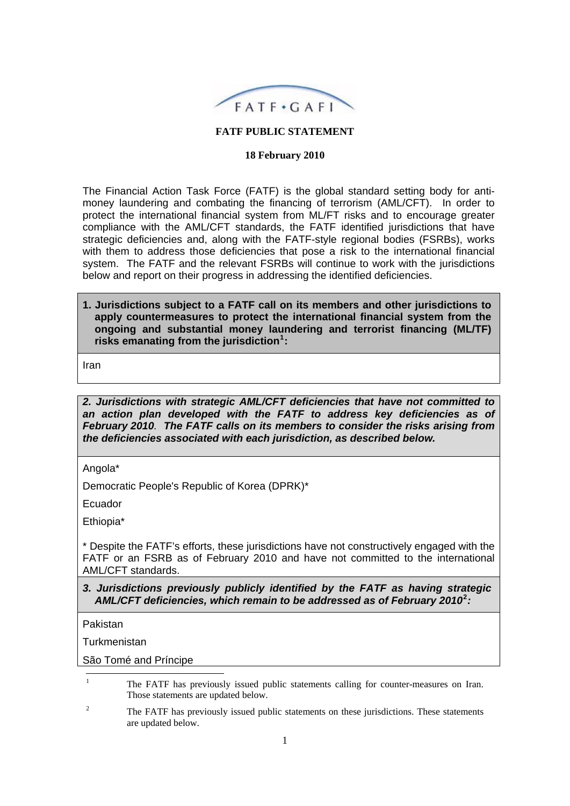

#### **FATF PUBLIC STATEMENT**

#### **18 February 2010**

The Financial Action Task Force (FATF) is the global standard setting body for antimoney laundering and combating the financing of terrorism (AML/CFT). In order to protect the international financial system from ML/FT risks and to encourage greater compliance with the AML/CFT standards, the FATF identified jurisdictions that have strategic deficiencies and, along with the FATF-style regional bodies (FSRBs), works with them to address those deficiencies that pose a risk to the international financial system. The FATF and the relevant FSRBs will continue to work with the jurisdictions below and report on their progress in addressing the identified deficiencies.

**1. Jurisdictions subject to a FATF call on its members and other jurisdictions to apply countermeasures to protect the international financial system from the ongoing and substantial money laundering and terrorist financing (ML/TF) risks emanating from the jurisdiction[1](#page-0-0) :** 

Iran

*2. Jurisdictions with strategic AML/CFT deficiencies that have not committed to an action plan developed with the FATF to address key deficiencies as of February 2010. The FATF calls on its members to consider the risks arising from the deficiencies associated with each jurisdiction, as described below.* 

Angola\*

Democratic People's Republic of Korea (DPRK)\*

Ecuador

Ethiopia\*

\* Despite the FATF's efforts, these jurisdictions have not constructively engaged with the FATF or an FSRB as of February 2010 and have not committed to the international AML/CFT standards.

# *3. Jurisdictions previously publicly identified by the FATF as having strategic AML/CFT deficiencies, which remain to be addressed as of February 2010***[2](#page-0-1)** *:*

Pakistan

**Turkmenistan** 

<span id="page-0-0"></span>São Tomé and Príncipe

 $\frac{1}{1}$  The FATF has previously issued public statements calling for counter-measures on Iran. Those statements are updated below.

<span id="page-0-1"></span> $\overline{2}$  The FATF has previously issued public statements on these jurisdictions. These statements are updated below.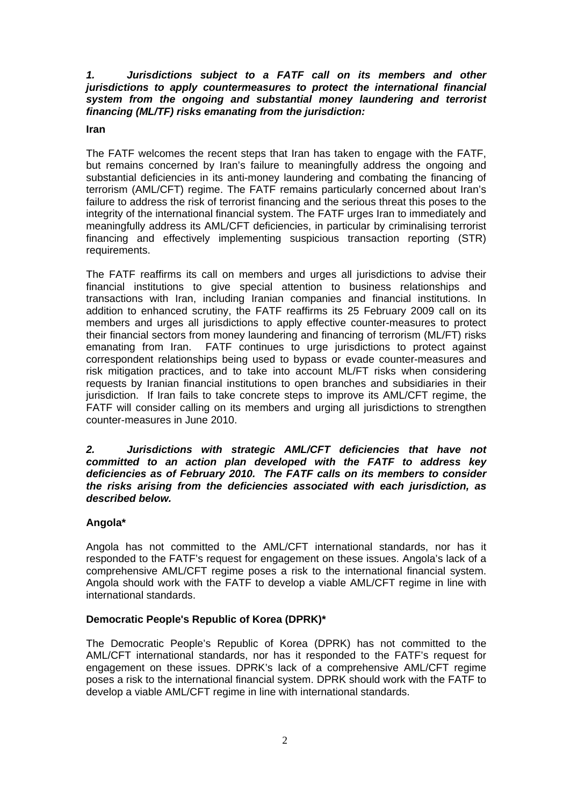### *1. Jurisdictions subject to a FATF call on its members and other jurisdictions to apply countermeasures to protect the international financial system from the ongoing and substantial money laundering and terrorist financing (ML/TF) risks emanating from the jurisdiction:*

#### **Iran**

The FATF welcomes the recent steps that Iran has taken to engage with the FATF, but remains concerned by Iran's failure to meaningfully address the ongoing and substantial deficiencies in its anti-money laundering and combating the financing of terrorism (AML/CFT) regime. The FATF remains particularly concerned about Iran's failure to address the risk of terrorist financing and the serious threat this poses to the integrity of the international financial system. The FATF urges Iran to immediately and meaningfully address its AML/CFT deficiencies, in particular by criminalising terrorist financing and effectively implementing suspicious transaction reporting (STR) requirements.

The FATF reaffirms its call on members and urges all jurisdictions to advise their financial institutions to give special attention to business relationships and transactions with Iran, including Iranian companies and financial institutions. In addition to enhanced scrutiny, the FATF reaffirms its 25 February 2009 call on its members and urges all jurisdictions to apply effective counter-measures to protect their financial sectors from money laundering and financing of terrorism (ML/FT) risks emanating from Iran. FATF continues to urge jurisdictions to protect against correspondent relationships being used to bypass or evade counter-measures and risk mitigation practices, and to take into account ML/FT risks when considering requests by Iranian financial institutions to open branches and subsidiaries in their jurisdiction. If Iran fails to take concrete steps to improve its AML/CFT regime, the FATF will consider calling on its members and urging all jurisdictions to strengthen counter-measures in June 2010.

#### *2. Jurisdictions with strategic AML/CFT deficiencies that have not committed to an action plan developed with the FATF to address key deficiencies as of February 2010. The FATF calls on its members to consider the risks arising from the deficiencies associated with each jurisdiction, as described below.*

#### **Angola\***

Angola has not committed to the AML/CFT international standards, nor has it responded to the FATF's request for engagement on these issues. Angola's lack of a comprehensive AML/CFT regime poses a risk to the international financial system. Angola should work with the FATF to develop a viable AML/CFT regime in line with international standards.

# **Democratic People's Republic of Korea (DPRK)\***

The Democratic People's Republic of Korea (DPRK) has not committed to the AML/CFT international standards, nor has it responded to the FATF's request for engagement on these issues. DPRK's lack of a comprehensive AML/CFT regime poses a risk to the international financial system. DPRK should work with the FATF to develop a viable AML/CFT regime in line with international standards.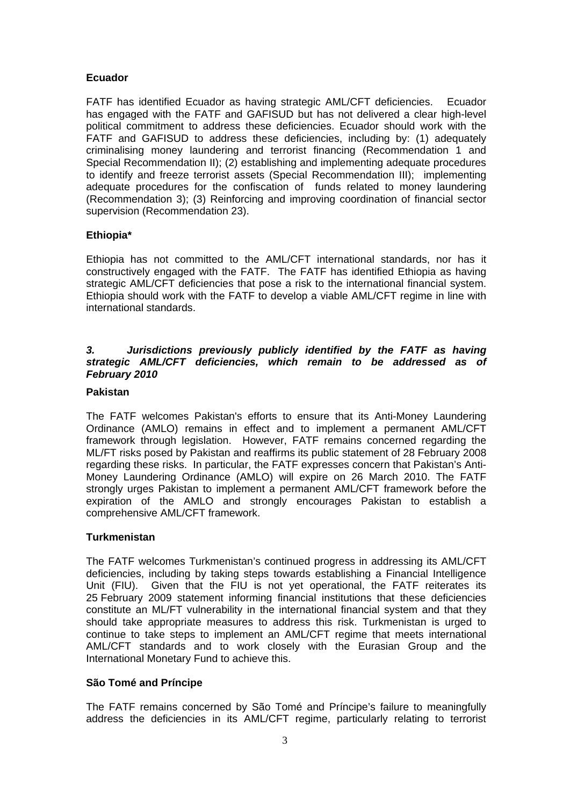### **Ecuador**

FATF has identified Ecuador as having strategic AML/CFT deficiencies. Ecuador has engaged with the FATF and GAFISUD but has not delivered a clear high-level political commitment to address these deficiencies. Ecuador should work with the FATF and GAFISUD to address these deficiencies, including by: (1) adequately criminalising money laundering and terrorist financing (Recommendation 1 and Special Recommendation II); (2) establishing and implementing adequate procedures to identify and freeze terrorist assets (Special Recommendation III); implementing adequate procedures for the confiscation of funds related to money laundering (Recommendation 3); (3) Reinforcing and improving coordination of financial sector supervision (Recommendation 23).

### **Ethiopia\***

Ethiopia has not committed to the AML/CFT international standards, nor has it constructively engaged with the FATF. The FATF has identified Ethiopia as having strategic AML/CFT deficiencies that pose a risk to the international financial system. Ethiopia should work with the FATF to develop a viable AML/CFT regime in line with international standards.

## *3. Jurisdictions previously publicly identified by the FATF as having strategic AML/CFT deficiencies, which remain to be addressed as of February 2010*

### **Pakistan**

The FATF welcomes Pakistan's efforts to ensure that its Anti-Money Laundering Ordinance (AMLO) remains in effect and to implement a permanent AML/CFT framework through legislation. However, FATF remains concerned regarding the ML/FT risks posed by Pakistan and reaffirms its public statement of 28 February 2008 regarding these risks. In particular, the FATF expresses concern that Pakistan's Anti-Money Laundering Ordinance (AMLO) will expire on 26 March 2010. The FATF strongly urges Pakistan to implement a permanent AML/CFT framework before the expiration of the AMLO and strongly encourages Pakistan to establish a comprehensive AML/CFT framework.

# **Turkmenistan**

The FATF welcomes Turkmenistan's continued progress in addressing its AML/CFT deficiencies, including by taking steps towards establishing a Financial Intelligence Unit (FIU). Given that the FIU is not yet operational, the FATF reiterates its 25 February 2009 statement informing financial institutions that these deficiencies constitute an ML/FT vulnerability in the international financial system and that they should take appropriate measures to address this risk. Turkmenistan is urged to continue to take steps to implement an AML/CFT regime that meets international AML/CFT standards and to work closely with the Eurasian Group and the International Monetary Fund to achieve this.

# **São Tomé and Príncipe**

The FATF remains concerned by São Tomé and Príncipe's failure to meaningfully address the deficiencies in its AML/CFT regime, particularly relating to terrorist